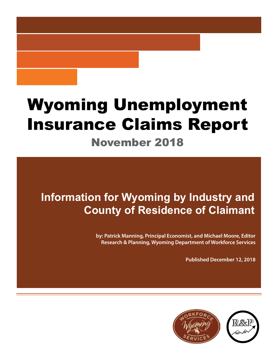# Wyoming Unemployment Insurance Claims Report November 2018

# **Information for Wyoming by Industry and County of Residence of Claimant**

**by: Patrick Manning, Principal Economist, and Michael Moore, Editor Research & Planning, Wyoming Department of Workforce Services**

**Published December 12, 2018**

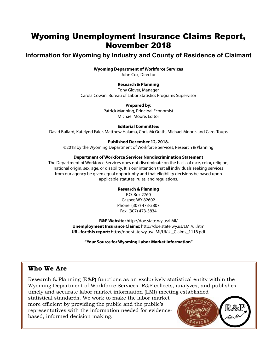## Wyoming Unemployment Insurance Claims Report, November 2018

## **Information for Wyoming by Industry and County of Residence of Claimant**

#### **Wyoming Department of Workforce Services**

John Cox, Director

#### **Research & Planning**

Tony Glover, Manager Carola Cowan, Bureau of Labor Statistics Programs Supervisor

#### **Prepared by:**

Patrick Manning, Principal Economist Michael Moore, Editor

#### **Editorial Committee:**

David Bullard, Katelynd Faler, Matthew Halama, Chris McGrath, Michael Moore, and Carol Toups

#### **Published December 12, 2018.**

©2018 by the Wyoming Department of Workforce Services, Research & Planning

#### **Department of Workforce Services Nondiscrimination Statement**

The Department of Workforce Services does not discriminate on the basis of race, color, religion, national origin, sex, age, or disability. It is our intention that all individuals seeking services from our agency be given equal opportunity and that eligibility decisions be based upon applicable statutes, rules, and regulations.

#### **Research & Planning**

P.O. Box 2760 Casper, WY 82602 Phone: (307) 473-3807 Fax: (307) 473-3834

**R&P Website:** http://doe.state.wy.us/LMI/ **Unemployment Insurance Claims:** http://doe.state.wy.us/LMI/ui.htm **URL for this report:** http://doe.state.wy.us/LMI/UI/UI\_Claims\_1118.pdf

**"Your Source for Wyoming Labor Market Information"**

#### **Who We Are**

Research & Planning (R&P) functions as an exclusively statistical entity within the Wyoming Department of Workforce Services. R&P collects, analyzes, and publishes timely and accurate labor market information (LMI) meeting established

statistical standards. We work to make the labor market more efficient by providing the public and the public's representatives with the information needed for evidencebased, informed decision making.

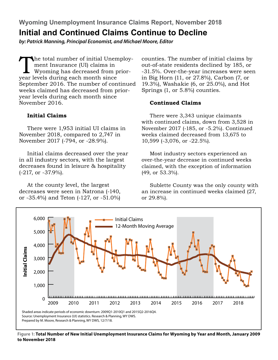**Wyoming Unemployment Insurance Claims Report, November 2018**

## **Initial and Continued Claims Continue to Decline**

*by: Patrick Manning, Principal Economist, and Michael Moore, Editor*

The total number of initial Unemploy-<br>ment Insurance (UI) claims in<br>Wyoming has decreased from prior-<br>vear levels during each month since ment Insurance (UI) claims in Wyoming has decreased from prioryear levels during each month since September 2016. The number of continued weeks claimed has decreased from prioryear levels during each month since November 2016.

#### **Initial Claims**

There were 1,953 initial UI claims in November 2018, compared to 2,747 in November 2017 (-794, or -28.9%).

Initial claims decreased over the year in all industry sectors, with the largest decreases found in leisure & hospitality (-217, or -37.9%).

At the county level, the largest decreases were seen in Natrona (-140, or -35.4%) and Teton (-127, or -51.0%) counties. The number of initial claims by out-of-state residents declined by 185, or -31.5%. Over-the-year increases were seen in Big Horn (11, or 27.8%), Carbon (7, or 19.3%), Washakie (6, or 25.0%), and Hot Springs (1, or 5.8%) counties.

#### **Continued Claims**

There were 3,343 unique claimants with continued claims, down from 3,528 in November 2017 (-185, or -5.2%). Continued weeks claimed decreased from 13,675 to 10,599 (-3,076, or -22.5%).

Most industry sectors experienced an over-the-year decrease in continued weeks claimed, with the exception of information (49, or 53.3%).

Sublette County was the only county with an increase in continued weeks claimed (27, or 29.8%).



**Figure 1: Total Number of New Initial Unemployment Insurance Claims for Wyoming by Year and Month, January 2009 to November 2018**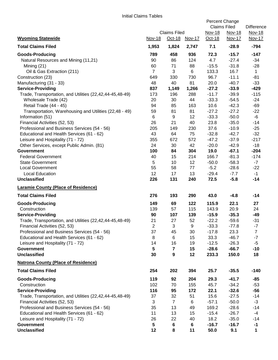|                                                                            |                |                                 |                 | Percent Change<br><b>Claims Filed</b> |                         | <b>Difference</b> |
|----------------------------------------------------------------------------|----------------|---------------------------------|-----------------|---------------------------------------|-------------------------|-------------------|
| <b>Wyoming Statewide</b>                                                   | <b>Nov-18</b>  | <b>Claims Filed</b><br>$Oct-18$ | Nov-17          | Nov-18<br>Oct-18                      | Nov-18<br><b>Nov-17</b> | Nov-18<br>Nov-17  |
| <b>Total Claims Filed</b>                                                  | 1,953          | 1,824                           | 2,747           | 7.1                                   | $-28.9$                 | $-794$            |
| <b>Goods-Producing</b>                                                     | 789            | 458                             | 936             | 72.3                                  | $-15.7$                 | $-147$            |
| Natural Resources and Mining (11,21)                                       | 90             | 86                              | 124             | 4.7                                   | $-27.4$                 | $-34$             |
| Mining $(21)$                                                              | 60             | 71                              | 88              | $-15.5$                               | $-31.8$                 | $-28$             |
| Oil & Gas Extraction (211)                                                 | $\overline{7}$ | 3                               | 6               | 133.3                                 | 16.7                    | $\mathbf{1}$      |
| Construction (23)                                                          | 649            | 330                             | 730             | 96.7                                  | $-11.1$                 | $-81$             |
| Manufacturing (31 - 33)                                                    | 48             | 40                              | 81              | 20.0                                  | $-40.7$                 | $-33$             |
| <b>Service-Providing</b>                                                   | 837            | 1,149                           | 1,266           | $-27.2$                               | $-33.9$                 | $-429$            |
| Trade, Transportation, and Utilities (22,42,44-45,48-49)                   | 173            | 196                             | 288             | $-11.7$                               | $-39.9$                 | $-115$            |
| Wholesale Trade (42)                                                       | 20             | 30                              | 44              | $-33.3$                               | $-54.5$                 | $-24$             |
| Retail Trade (44 - 45)                                                     | 94<br>59       | 85<br>81                        | 163<br>81       | 10.6<br>$-27.2$                       | $-42.3$<br>$-27.2$      | -69<br>$-22$      |
| Transportation, Warehousing and Utilities (22,48 - 49)<br>Information (51) | 6              | 9                               | 12              | $-33.3$                               | $-50.0$                 | -6                |
| Financial Activities (52, 53)                                              | 26             | 21                              | 40              | 23.8                                  | $-35.0$                 | $-14$             |
| Professional and Business Services (54 - 56)                               | 205            | 149                             | 230             | 37.6                                  | $-10.9$                 | $-25$             |
| Educational and Health Services (61 - 62)                                  | 43             | 64                              | 75              | $-32.8$                               | $-42.7$                 | $-32$             |
| Leisure and Hospitality (71 - 72)                                          | 355            | 672                             | 572             | $-47.2$                               | $-37.9$                 | $-217$            |
| Other Services, except Public Admin. (81)                                  | 24             | 30                              | 42              | $-20.0$                               | $-42.9$                 | $-18$             |
| <b>Government</b>                                                          | 100            | 84                              | 304             | 19.0                                  | $-67.1$                 | $-204$            |
| <b>Federal Government</b>                                                  | 40             | 15                              | 214             | 166.7                                 | $-81.3$                 | $-174$            |
| <b>State Government</b>                                                    | 5              | 10                              | 12              | $-50.0$                               | $-58.3$                 | $-7$              |
| <b>Local Government</b>                                                    | 55             | 58                              | 77              | $-5.2$                                | $-28.6$                 | $-22$             |
| <b>Local Education</b>                                                     | 12             | 17                              | 13              | $-29.4$                               | $-7.7$                  | $-1$              |
| <b>Unclassified</b>                                                        | 226            | 131                             | 240             | 72.5                                  | $-5.8$                  | $-14$             |
| <b>Laramie County (Place of Residence)</b>                                 |                |                                 |                 |                                       |                         |                   |
| <b>Total Claims Filed</b>                                                  | 276            | 193                             | 290             | 43.0                                  | $-4.8$                  | $-14$             |
| <b>Goods-Producing</b>                                                     | 149            | 69                              | 122             | 115.9                                 | 22.1                    | 27                |
| Construction                                                               | 139            | 57                              | 115             | 143.9                                 | 20.9                    | 24                |
| <b>Service-Providing</b>                                                   | 90             | 107                             | 139             | $-15.9$                               | $-35.3$                 | $-49$             |
| Trade, Transportation, and Utilities (22,42,44-45,48-49)                   | 21             | 27                              | 52              | $-22.2$                               | $-59.6$                 | $-31$             |
| Financial Activities (52, 53)                                              | $\overline{c}$ | 3                               | 9               | $-33.3$                               | $-77.8$                 | $-7$              |
| Professional and Business Services (54 - 56)                               | 37             | 45                              | 30              | $-17.8$                               | 23.3                    | $\overline{7}$    |
| Educational and Health Services (61 - 62)                                  | 8              | 6                               | 15              | 33.3                                  | $-46.7$                 | $-7$<br>$-5$      |
| Leisure and Hospitality (71 - 72)<br><b>Government</b>                     | 14<br>5        | 16<br>7                         | 19<br>15        | $-12.5$<br>$-28.6$                    | $-26.3$<br>$-66.7$      | $-10$             |
| <b>Unclassified</b>                                                        | 30             | 9                               | 12              | 233.3                                 | 150.0                   | 18                |
| <b>Natrona County (Place of Residence)</b>                                 |                |                                 |                 |                                       |                         |                   |
| <b>Total Claims Filed</b>                                                  | 254            | 202                             | 394             | 25.7                                  | $-35.5$                 | $-140$            |
| <b>Goods-Producing</b>                                                     | 119            | 92                              | 204             | 29.3                                  | $-41.7$                 | -85               |
| Construction                                                               | 102            | 70                              | 155             | 45.7                                  | $-34.2$                 | $-53$             |
| <b>Service-Providing</b>                                                   | 116            | 95                              | 172             | 22.1                                  | $-32.6$                 | $-56$             |
| Trade, Transportation, and Utilities (22,42,44-45,48-49)                   | 37             | 32                              | 51              | 15.6                                  | $-27.5$                 | $-14$             |
| Financial Activities (52, 53)                                              | 3              | $\overline{7}$                  | 6               | $-57.1$                               | $-50.0$                 | $-3$              |
| Professional and Business Services (54 - 56)                               | 35             | 13                              | 49              | 169.2                                 | $-28.6$                 | $-14$             |
| Educational and Health Services (61 - 62)                                  | 11             | 13                              | 15              | $-15.4$                               | $-26.7$                 | $-4$              |
| Leisure and Hospitality (71 - 72)                                          | 26             | 22                              | 40              | 18.2                                  | $-35.0$                 | $-14$             |
| <b>Government</b>                                                          | 5              | 6                               | $6\phantom{1}6$ | $-16.7$                               | $-16.7$                 | $-1$              |
| <b>Unclassified</b>                                                        | 12             | 8                               | 11              | 50.0                                  | 9.1                     | 1                 |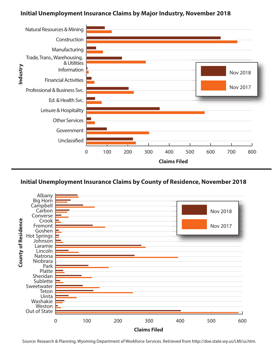### **Initial Unemployment Insurance Claims by Major Industry, November 2018**



#### **Initial Unemployment Insurance Claims by County of Residence, November 2018**



Source: Research & Planning, Wyoming Department of Workforce Services. Retrieved from http://doe.state.wy.us/LMI/ui.htm.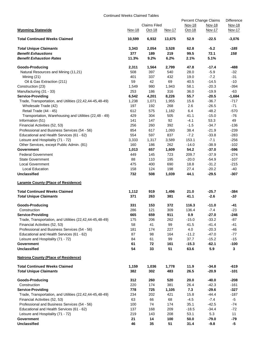#### Continued Weeks Claimed Tables

|                                                          |        |                               |        | Percent Change Claims |               | <b>Difference</b>       |
|----------------------------------------------------------|--------|-------------------------------|--------|-----------------------|---------------|-------------------------|
| <b>Wyoming Statewide</b>                                 |        | <b>Claims Filed</b><br>Oct-18 |        | <b>Nov-18</b>         | Nov-18        | Nov-18<br><b>Nov-17</b> |
|                                                          | Nov-18 |                               | Nov-17 | Oct-18                | <b>Nov-17</b> |                         |
| <b>Total Continued Weeks Claimed</b>                     | 10,599 | 6,932                         | 13,675 | 52.9                  | $-22.5$       | $-3,076$                |
| <b>Total Unique Claimants</b>                            | 3,343  | 2,054                         | 3,528  | 62.8                  | $-5.2$        | -185                    |
| <b>Benefit Exhaustions</b>                               | 377    | 189                           | 219    | 99.5                  | 72.1          | 158                     |
| <b>Benefit Exhaustion Rates</b>                          | 11.3%  | 9.2%                          | 6.2%   | 2.1%                  | 5.1%          |                         |
| <b>Goods-Producing</b>                                   | 2,311  | 1,564                         | 2,799  | 47.8                  | $-17.4$       | -488                    |
| Natural Resources and Mining (11,21)                     | 508    | 397                           | 540    | 28.0                  | $-5.9$        | $-32$                   |
| Mining $(21)$                                            | 401    | 337                           | 432    | 19.0                  | $-7.2$        | $-31$                   |
| Oil & Gas Extraction (211)                               | 59     | 42                            | 69     | 40.5                  | $-14.5$       | $-10$                   |
| Construction (23)                                        | 1,549  | 980                           | 1,943  | 58.1                  | $-20.3$       | $-394$                  |
| Manufacturing (31 - 33)                                  | 253    | 186                           | 316    | 36.0                  | $-19.9$       | $-63$                   |
| <b>Service-Providing</b>                                 | 6,542  | 4,201                         | 8,226  | 55.7                  | $-20.5$       | $-1,684$                |
| Trade, Transportation, and Utilities (22,42,44-45,48-49) | 1,238  | 1,071                         | 1,955  | 15.6                  | $-36.7$       | $-717$                  |
| Wholesale Trade (42)                                     | 197    | 192                           | 268    | 2.6                   | $-26.5$       | $-71$                   |
| Retail Trade (44 - 45)                                   | 612    | 575                           | 1,182  | 6.4                   | $-48.2$       | $-570$                  |
| Transportation, Warehousing and Utilities (22,48 - 49)   | 429    | 304                           | 505    | 41.1                  | $-15.0$       | $-76$                   |
|                                                          |        |                               | 92     | $-4.1$                | 53.3          | 49                      |
| Information (51)                                         | 141    | 147                           | 392    | $-1.5$                | $-34.7$       |                         |
| Financial Activities (52, 53)                            | 256    | 260                           |        | 38.4                  | $-21.9$       | -136                    |
| Professional and Business Services (54 - 56)             | 854    | 617                           | 1,093  |                       |               | $-239$                  |
| Educational and Health Services (61 - 62)                | 554    | 597                           | 837    | $-7.2$                | $-33.8$       | $-283$                  |
| Leisure and Hospitality (71 - 72)                        | 3,333  | 1,317                         | 3,589  | 153.1                 | $-7.1$        | $-256$                  |
| Other Services, except Public Admin. (81)                | 160    | 186                           | 262    | $-14.0$               | $-38.9$       | $-102$                  |
| Government                                               | 1,013  | 657                           | 1,609  | 54.2                  | $-37.0$       | $-596$                  |
| <b>Federal Government</b>                                | 449    | 145                           | 723    | 209.7                 | $-37.9$       | $-274$                  |
| <b>State Government</b>                                  | 88     | 110                           | 195    | $-20.0$               | $-54.9$       | $-107$                  |
| Local Government                                         | 475    | 400                           | 690    | 18.8                  | $-31.2$       | $-215$                  |
| Local Education                                          | 158    | 124                           | 198    | 27.4                  | $-20.2$       | -40                     |
| <b>Unclassified</b>                                      | 732    | 508                           | 1,039  | 44.1                  | $-29.5$       | $-307$                  |
| <b>Laramie County (Place of Residence)</b>               |        |                               |        |                       |               |                         |
| <b>Total Continued Weeks Claimed</b>                     | 1,112  | 919                           | 1,496  | 21.0                  | $-25.7$       | -384                    |
| <b>Total Unique Claimants</b>                            | 371    | 263                           | 381    | 41.1                  | $-2.6$        | -10                     |
| Goods-Producing                                          | 331    | 153                           | 372    | 116.3                 | $-11.0$       | $-41$                   |
| Construction                                             | 286    | 121                           | 309    | 136.4                 | $-7.4$        | $-23$                   |
| <b>Service-Providing</b>                                 | 665    | 659                           | 911    | 0.9                   | $-27.0$       | -246                    |
| Trade, Transportation, and Utilities (22,42,44-45,48-49) | 175    | 206                           | 262    | $-15.0$               | $-33.2$       | $-87$                   |
| Financial Activities (52, 53)                            | 58     | 41                            | 99     | 41.5                  | $-41.4$       | -41                     |
| Professional and Business Services (54 - 56)             | 181    | 174                           | 227    | 4.0                   | $-20.3$       | -46                     |
| Educational and Health Services (61 - 62)                | 87     | 98                            | 164    | $-11.2$               | $-47.0$       | $-77$                   |
| Leisure and Hospitality (71 - 72)                        | 84     | 61                            | 99     | 37.7                  | $-15.2$       | $-15$                   |
| <b>Government</b>                                        | 61     | 72                            | 161    | $-15.3$               | $-62.1$       | $-100$                  |
| <b>Unclassified</b>                                      | 54     | 33                            | 51     | 63.6                  | 5.9           | 3                       |
| <b>Natrona County (Place of Residence)</b>               |        |                               |        |                       |               |                         |
| <b>Total Continued Weeks Claimed</b>                     | 1,159  | 1,036                         | 1,778  | 11.9                  | -34.8         | -619                    |
| <b>Total Unique Claimants</b>                            | 382    | 302                           | 483    | 26.5                  | $-20.9$       | $-101$                  |
| Goods-Producing                                          | 312    | 260                           | 520    | 20.0                  | $-40.0$       | -208                    |
| Construction                                             | 220    | 174                           | 381    | 26.4                  | $-42.3$       | $-161$                  |
| <b>Service-Providing</b>                                 | 778    | 725                           | 1,105  | 7.3                   | $-29.6$       | $-327$                  |
| Trade, Transportation, and Utilities (22,42,44-45,48-49) | 234    | 202                           | 421    | 15.8                  | $-44.4$       | $-187$                  |
| Financial Activities (52, 53)                            | 63     | 66                            | 68     | $-4.5$                | $-7.4$        | -5                      |
| Professional and Business Services (54 - 56)             | 100    | 74                            | 174    | 35.1                  | $-42.5$       | $-74$                   |
| Educational and Health Services (61 - 62)                | 137    | 168                           | 209    | $-18.5$               | $-34.4$       | $-72$                   |
| Leisure and Hospitality (71 - 72)                        | 219    | 143                           | 208    | 53.1                  | 5.3           | 11                      |
| Government                                               | 21     | 14                            | 100    | 50.0                  | $-79.0$       | $-79$                   |
| <b>Unclassified</b>                                      | 46     | 35                            | 51     | 31.4                  | $-9.8$        | $-5$                    |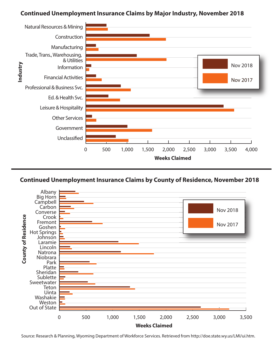#### **Continued Unemployment Insurance Claims by Major Industry, November 2018**





Source: Research & Planning, Wyoming Department of Workforce Services. Retrieved from http://doe.state.wy.us/LMI/ui.htm.